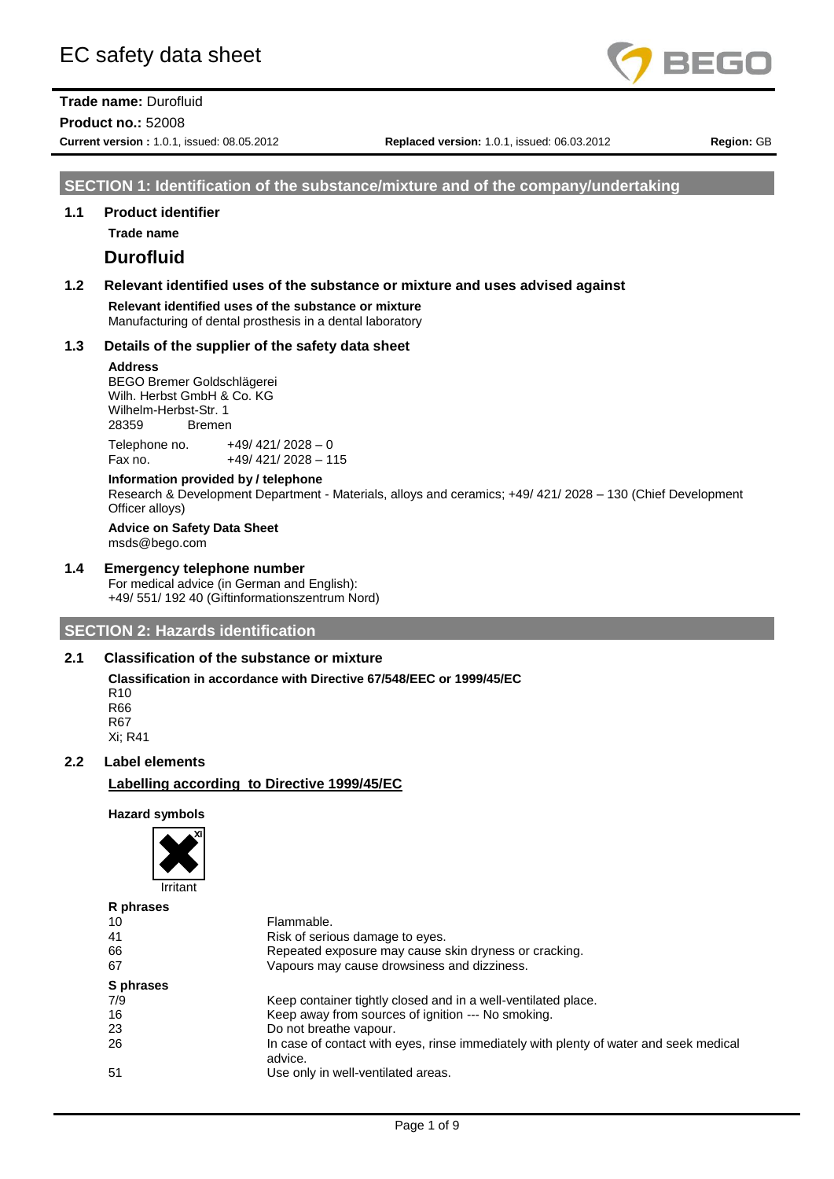

**Product no.:** 52008

**Current version :** 1.0.1, issued: 08.05.2012 **Replaced version:** 1.0.1, issued: 06.03.2012 **Region:** GB

## **SECTION 1: Identification of the substance/mixture and of the company/undertaking**

## **1.1 Product identifier**

**Trade name**

# **Durofluid**

**1.2 Relevant identified uses of the substance or mixture and uses advised against**

**Relevant identified uses of the substance or mixture** Manufacturing of dental prosthesis in a dental laboratory

#### **1.3 Details of the supplier of the safety data sheet**

#### **Address**

BEGO Bremer Goldschlägerei Wilh. Herbst GmbH & Co. KG Wilhelm-Herbst-Str. 1 28359 Bremen

Telephone no.  $+49/ 421/ 2028 - 0$ Fax no. +49/ 421/ 2028 - 115

# **Information provided by / telephone**

Research & Development Department - Materials, alloys and ceramics; +49/ 421/ 2028 – 130 (Chief Development Officer alloys)

#### **Advice on Safety Data Sheet** msds@bego.com

### **1.4 Emergency telephone number**

For medical advice (in German and English): +49/ 551/ 192 40 (Giftinformationszentrum Nord)

# **SECTION 2: Hazards identification**

## **2.1 Classification of the substance or mixture**

**Classification in accordance with Directive 67/548/EEC or 1999/45/EC** R10 R66 R67

Xi; R41

# **2.2 Label elements**

**Labelling according to Directive 1999/45/EC**

#### **Hazard symbols**



| R phrases |                                                                                                  |
|-----------|--------------------------------------------------------------------------------------------------|
| 10        | Flammable.                                                                                       |
| 41        | Risk of serious damage to eyes.                                                                  |
| 66        | Repeated exposure may cause skin dryness or cracking.                                            |
| 67        | Vapours may cause drowsiness and dizziness.                                                      |
| S phrases |                                                                                                  |
| 7/9       | Keep container tightly closed and in a well-ventilated place.                                    |
| 16        | Keep away from sources of ignition --- No smoking.                                               |
| 23        | Do not breathe vapour.                                                                           |
| 26        | In case of contact with eyes, rinse immediately with plenty of water and seek medical<br>advice. |
| 51        | Use only in well-ventilated areas.                                                               |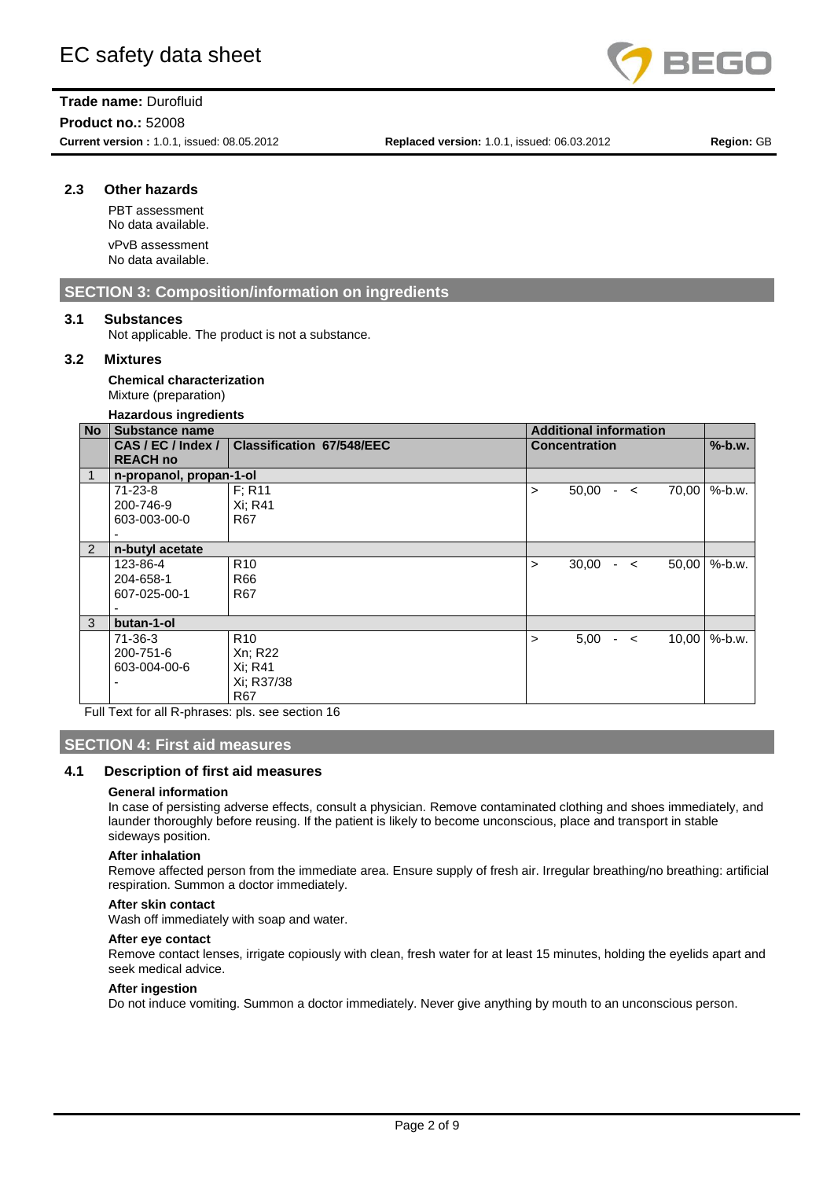

**Product no.:** 52008

**Current version :** 1.0.1, issued: 08.05.2012 **Replaced version:** 1.0.1, issued: 06.03.2012 **Region:** GB

# **2.3 Other hazards**

PBT assessment No data available. vPvB assessment No data available.

# **SECTION 3: Composition/information on ingredients**

## **3.1 Substances**

Not applicable. The product is not a substance.

## **3.2 Mixtures**

**Chemical characterization** Mixture (preparation)

#### **Hazardous ingredients**

| <b>No</b> | Substance name                   |                                  |   | <b>Additional information</b> |               |       |                |
|-----------|----------------------------------|----------------------------------|---|-------------------------------|---------------|-------|----------------|
|           | CAS/EC/Index/<br><b>REACH no</b> | <b>Classification 67/548/EEC</b> |   | <b>Concentration</b>          |               |       | $%$ -b.w.      |
|           | n-propanol, propan-1-ol          |                                  |   |                               |               |       |                |
|           | $71 - 23 - 8$                    | F: R11                           | > | 50,00                         | $ <$          |       | $70,00$ %-b.w. |
|           | 200-746-9                        | Xi: R41                          |   |                               |               |       |                |
|           | 603-003-00-0                     | <b>R67</b>                       |   |                               |               |       |                |
|           |                                  |                                  |   |                               |               |       |                |
| 2         | n-butyl acetate                  |                                  |   |                               |               |       |                |
|           | 123-86-4                         | R <sub>10</sub>                  | > | 30,00                         | $\sim$ $\sim$ | 50,00 | $%$ -b.w.      |
|           | 204-658-1                        | R66                              |   |                               |               |       |                |
|           | 607-025-00-1                     | R67                              |   |                               |               |       |                |
|           |                                  |                                  |   |                               |               |       |                |
| 3         | butan-1-ol                       |                                  |   |                               |               |       |                |
|           | $71 - 36 - 3$                    | R <sub>10</sub>                  | > | 5,00                          | $-<$          | 10,00 | $%$ -b.w.      |
|           | 200-751-6                        | Xn; R22                          |   |                               |               |       |                |
|           | 603-004-00-6                     | Xi: R41                          |   |                               |               |       |                |
|           |                                  | Xi: R37/38                       |   |                               |               |       |                |
|           |                                  | R67                              |   |                               |               |       |                |

Full Text for all R-phrases: pls. see section 16

# **SECTION 4: First aid measures**

#### **4.1 Description of first aid measures**

#### **General information**

In case of persisting adverse effects, consult a physician. Remove contaminated clothing and shoes immediately, and launder thoroughly before reusing. If the patient is likely to become unconscious, place and transport in stable sideways position.

#### **After inhalation**

Remove affected person from the immediate area. Ensure supply of fresh air. Irregular breathing/no breathing: artificial respiration. Summon a doctor immediately.

#### **After skin contact**

Wash off immediately with soap and water.

#### **After eye contact**

Remove contact lenses, irrigate copiously with clean, fresh water for at least 15 minutes, holding the eyelids apart and seek medical advice.

#### **After ingestion**

Do not induce vomiting. Summon a doctor immediately. Never give anything by mouth to an unconscious person.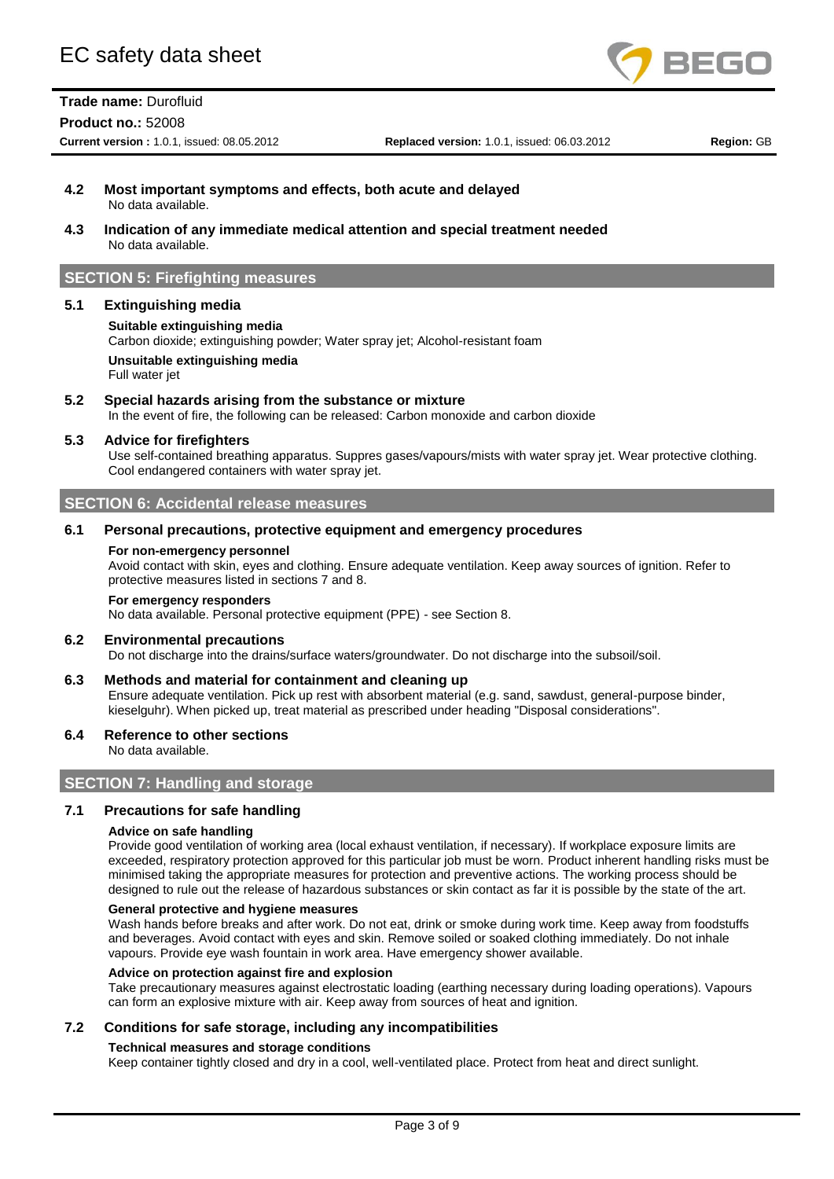

#### **Product no.:** 52008

**Current version :** 1.0.1, issued: 08.05.2012 **Replaced version:** 1.0.1, issued: 06.03.2012 **Region:** GB

#### **4.2 Most important symptoms and effects, both acute and delayed** No data available.

**4.3 Indication of any immediate medical attention and special treatment needed** No data available.

## **SECTION 5: Firefighting measures**

## **5.1 Extinguishing media**

#### **Suitable extinguishing media**

Carbon dioxide; extinguishing powder; Water spray jet; Alcohol-resistant foam

**Unsuitable extinguishing media** Full water jet

**5.2 Special hazards arising from the substance or mixture** In the event of fire, the following can be released: Carbon monoxide and carbon dioxide

#### **5.3 Advice for firefighters**

Use self-contained breathing apparatus. Suppres gases/vapours/mists with water spray jet. Wear protective clothing. Cool endangered containers with water spray jet.

# **SECTION 6: Accidental release measures**

#### **6.1 Personal precautions, protective equipment and emergency procedures**

#### **For non-emergency personnel**

Avoid contact with skin, eyes and clothing. Ensure adequate ventilation. Keep away sources of ignition. Refer to protective measures listed in sections 7 and 8.

#### **For emergency responders**

No data available. Personal protective equipment (PPE) - see Section 8.

#### **6.2 Environmental precautions**

Do not discharge into the drains/surface waters/groundwater. Do not discharge into the subsoil/soil.

## **6.3 Methods and material for containment and cleaning up**

Ensure adequate ventilation. Pick up rest with absorbent material (e.g. sand, sawdust, general-purpose binder, kieselguhr). When picked up, treat material as prescribed under heading "Disposal considerations".

#### **6.4 Reference to other sections**

No data available.

### **SECTION 7: Handling and storage**

## **7.1 Precautions for safe handling**

#### **Advice on safe handling**

Provide good ventilation of working area (local exhaust ventilation, if necessary). If workplace exposure limits are exceeded, respiratory protection approved for this particular job must be worn. Product inherent handling risks must be minimised taking the appropriate measures for protection and preventive actions. The working process should be designed to rule out the release of hazardous substances or skin contact as far it is possible by the state of the art.

### **General protective and hygiene measures**

Wash hands before breaks and after work. Do not eat, drink or smoke during work time. Keep away from foodstuffs and beverages. Avoid contact with eyes and skin. Remove soiled or soaked clothing immediately. Do not inhale vapours. Provide eye wash fountain in work area. Have emergency shower available.

#### **Advice on protection against fire and explosion**

Take precautionary measures against electrostatic loading (earthing necessary during loading operations). Vapours can form an explosive mixture with air. Keep away from sources of heat and ignition.

#### **7.2 Conditions for safe storage, including any incompatibilities**

#### **Technical measures and storage conditions**

Keep container tightly closed and dry in a cool, well-ventilated place. Protect from heat and direct sunlight.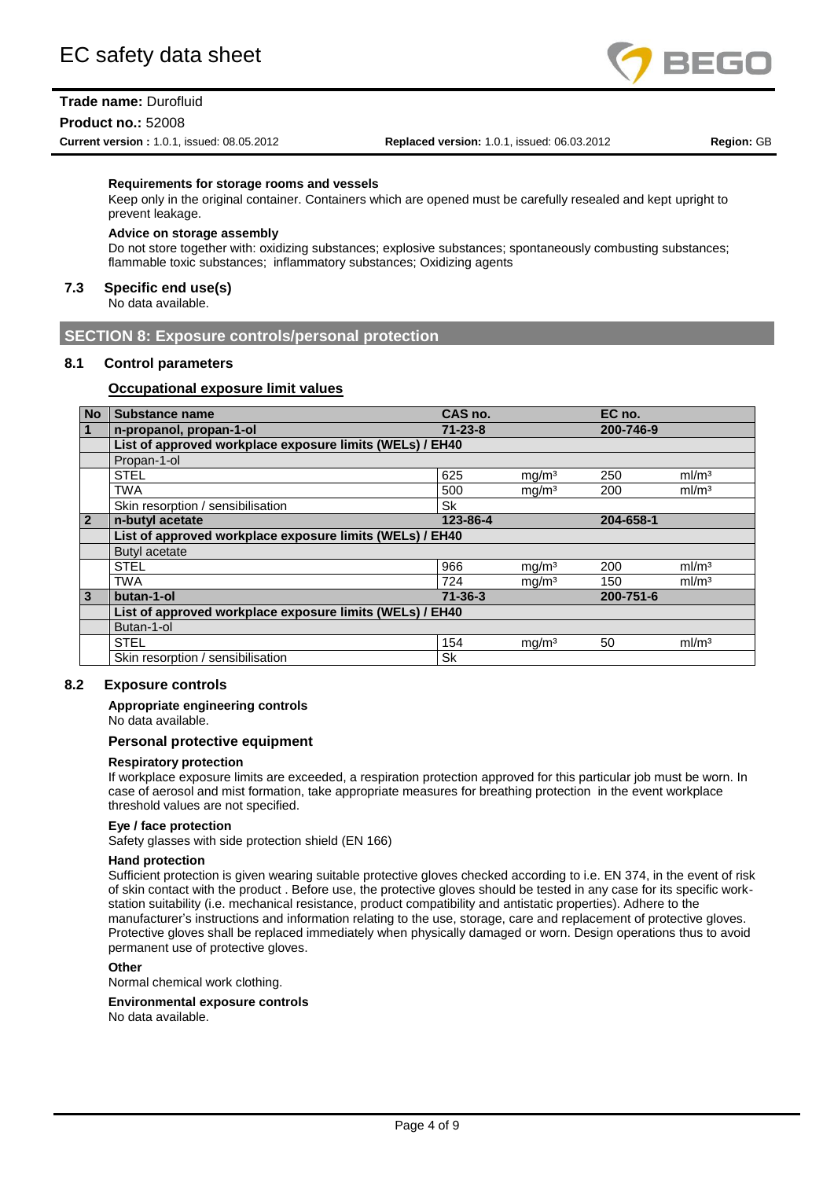

#### **Product no.:** 52008

**Current version :** 1.0.1, issued: 08.05.2012 **Replaced version:** 1.0.1, issued: 06.03.2012 **Region:** GB

#### **Requirements for storage rooms and vessels**

Keep only in the original container. Containers which are opened must be carefully resealed and kept upright to prevent leakage.

#### **Advice on storage assembly**

Do not store together with: oxidizing substances; explosive substances; spontaneously combusting substances; flammable toxic substances; inflammatory substances; Oxidizing agents

### **7.3 Specific end use(s)**

No data available.

## **SECTION 8: Exposure controls/personal protection**

## **8.1 Control parameters**

## **Occupational exposure limit values**

| <b>No</b>      | <b>Substance name</b>                                    | CAS no.       |                   | EC no.    |                   |  |
|----------------|----------------------------------------------------------|---------------|-------------------|-----------|-------------------|--|
| $\overline{1}$ | n-propanol, propan-1-ol                                  | $71 - 23 - 8$ |                   | 200-746-9 |                   |  |
|                | List of approved workplace exposure limits (WELs) / EH40 |               |                   |           |                   |  |
|                | Propan-1-ol                                              |               |                   |           |                   |  |
|                | <b>STEL</b>                                              | 625           | mq/m <sup>3</sup> | 250       | ml/m <sup>3</sup> |  |
|                | <b>TWA</b>                                               | 500           | mg/m <sup>3</sup> | 200       | ml/m <sup>3</sup> |  |
|                | Skin resorption / sensibilisation                        | Sk            |                   |           |                   |  |
| $\overline{2}$ | n-butyl acetate                                          | 123-86-4      |                   | 204-658-1 |                   |  |
|                | List of approved workplace exposure limits (WELs) / EH40 |               |                   |           |                   |  |
|                | Butyl acetate                                            |               |                   |           |                   |  |
|                | <b>STEL</b>                                              | 966           | mg/m <sup>3</sup> | 200       | ml/m <sup>3</sup> |  |
|                | <b>TWA</b>                                               | 724           | mg/m <sup>3</sup> | 150       | ml/m <sup>3</sup> |  |
| $\overline{3}$ | butan-1-ol                                               | $71 - 36 - 3$ |                   | 200-751-6 |                   |  |
|                | List of approved workplace exposure limits (WELs) / EH40 |               |                   |           |                   |  |
|                | Butan-1-ol                                               |               |                   |           |                   |  |
|                | <b>STEL</b>                                              | 154           | mg/m <sup>3</sup> | 50        | ml/m <sup>3</sup> |  |
|                | Skin resorption / sensibilisation                        | <b>Sk</b>     |                   |           |                   |  |

## **8.2 Exposure controls**

#### **Appropriate engineering controls**

No data available.

#### **Personal protective equipment**

#### **Respiratory protection**

If workplace exposure limits are exceeded, a respiration protection approved for this particular job must be worn. In case of aerosol and mist formation, take appropriate measures for breathing protection in the event workplace threshold values are not specified.

#### **Eye / face protection**

Safety glasses with side protection shield (EN 166)

#### **Hand protection**

Sufficient protection is given wearing suitable protective gloves checked according to i.e. EN 374, in the event of risk of skin contact with the product . Before use, the protective gloves should be tested in any case for its specific workstation suitability (i.e. mechanical resistance, product compatibility and antistatic properties). Adhere to the manufacturer's instructions and information relating to the use, storage, care and replacement of protective gloves. Protective gloves shall be replaced immediately when physically damaged or worn. Design operations thus to avoid permanent use of protective gloves.

## **Other**

Normal chemical work clothing.

#### **Environmental exposure controls**

No data available.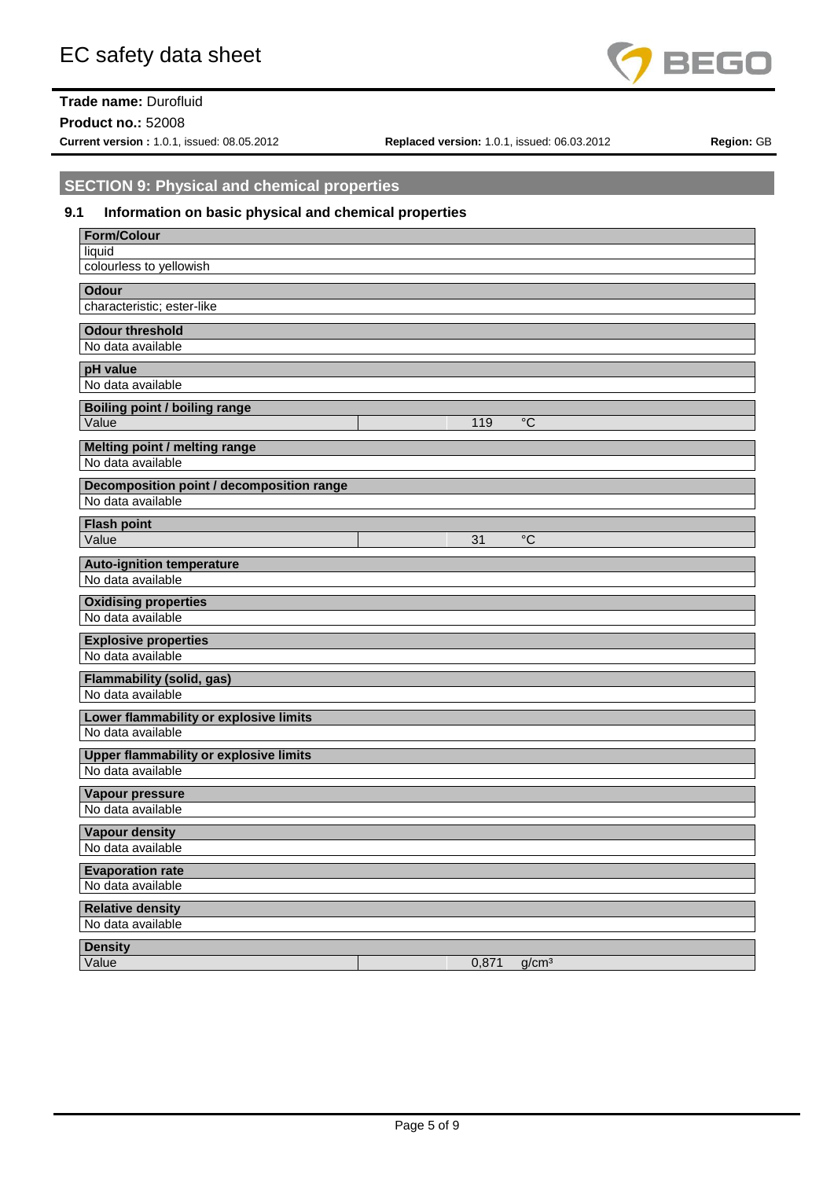

**Product no.:** 52008

**Current version :** 1.0.1, issued: 08.05.2012 **Replaced version:** 1.0.1, issued: 06.03.2012 **Region:** GB

# **SECTION 9: Physical and chemical properties**

# **9.1 Information on basic physical and chemical properties**

| <b>Form/Colour</b>                                          |       |                   |
|-------------------------------------------------------------|-------|-------------------|
| liquid                                                      |       |                   |
| colourless to yellowish                                     |       |                   |
| <b>Odour</b>                                                |       |                   |
| characteristic; ester-like                                  |       |                   |
|                                                             |       |                   |
| <b>Odour threshold</b>                                      |       |                   |
| No data available                                           |       |                   |
| pH value                                                    |       |                   |
| No data available                                           |       |                   |
| <b>Boiling point / boiling range</b>                        |       |                   |
| Value                                                       | 119   | $^{\circ}C$       |
|                                                             |       |                   |
| <b>Melting point / melting range</b><br>No data available   |       |                   |
|                                                             |       |                   |
| <b>Decomposition point / decomposition range</b>            |       |                   |
| No data available                                           |       |                   |
| <b>Flash point</b>                                          |       |                   |
| Value                                                       | 31    | $\overline{C}$    |
|                                                             |       |                   |
| <b>Auto-ignition temperature</b><br>No data available       |       |                   |
|                                                             |       |                   |
| <b>Oxidising properties</b>                                 |       |                   |
| No data available                                           |       |                   |
| <b>Explosive properties</b>                                 |       |                   |
| No data available                                           |       |                   |
| <b>Flammability (solid, gas)</b>                            |       |                   |
| No data available                                           |       |                   |
|                                                             |       |                   |
| Lower flammability or explosive limits<br>No data available |       |                   |
|                                                             |       |                   |
| <b>Upper flammability or explosive limits</b>               |       |                   |
| No data available                                           |       |                   |
| Vapour pressure                                             |       |                   |
| No data available                                           |       |                   |
| <b>Vapour density</b>                                       |       |                   |
| No data available                                           |       |                   |
|                                                             |       |                   |
| <b>Evaporation rate</b>                                     |       |                   |
| No data available                                           |       |                   |
| <b>Relative density</b>                                     |       |                   |
| No data available                                           |       |                   |
| <b>Density</b>                                              |       |                   |
| Value                                                       | 0,871 | g/cm <sup>3</sup> |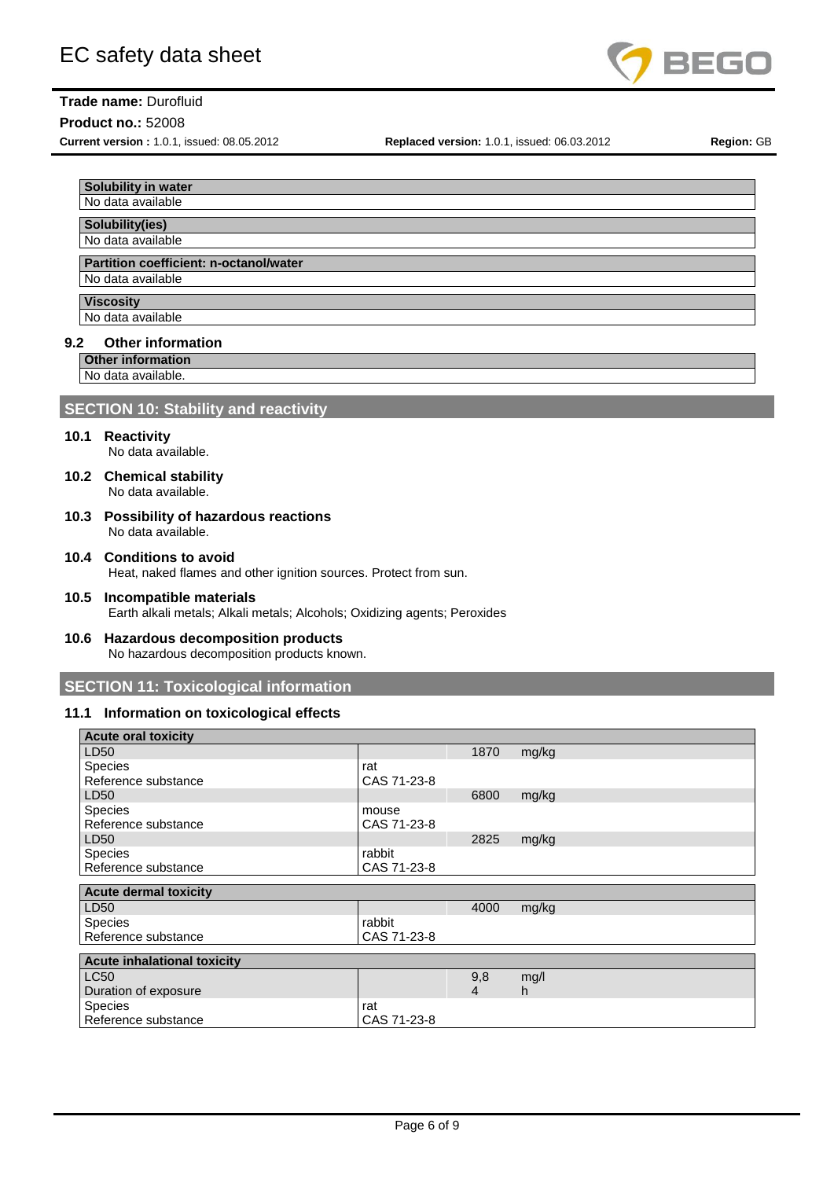

# **Product no.:** 52008

**Current version :** 1.0.1, issued: 08.05.2012 **Replaced version:** 1.0.1, issued: 06.03.2012 **Region:** GB

| <b>Solubility in water</b>             |
|----------------------------------------|
| No data available                      |
|                                        |
| Solubility(ies)                        |
| No data available                      |
|                                        |
| Destition esofficient: n estenelhuates |

# **Partition coefficient: n-octanol/water**

No data available

**Viscosity** 

# No data available

## **9.2 Other information**

**Other information**

No data available.

# **SECTION 10: Stability and reactivity**

# **10.1 Reactivity**

No data available.

- **10.2 Chemical stability** No data available.
- **10.3 Possibility of hazardous reactions** No data available.
- **10.4 Conditions to avoid** Heat, naked flames and other ignition sources. Protect from sun.
- **10.5 Incompatible materials** Earth alkali metals; Alkali metals; Alcohols; Oxidizing agents; Peroxides

#### **10.6 Hazardous decomposition products** No hazardous decomposition products known.

**SECTION 11: Toxicological information**

# **11.1 Information on toxicological effects**

| <b>Acute oral toxicity</b>         |             |      |       |
|------------------------------------|-------------|------|-------|
| LD50                               |             | 1870 | mg/kg |
| Species                            | rat         |      |       |
| Reference substance                | CAS 71-23-8 |      |       |
| LD50                               |             | 6800 | mg/kg |
| <b>Species</b>                     | mouse       |      |       |
| Reference substance                | CAS 71-23-8 |      |       |
| LD50                               |             | 2825 | mg/kg |
| <b>Species</b>                     | rabbit      |      |       |
| Reference substance                | CAS 71-23-8 |      |       |
|                                    |             |      |       |
|                                    |             |      |       |
| <b>Acute dermal toxicity</b>       |             |      |       |
| LD <sub>50</sub>                   |             | 4000 | mg/kg |
| <b>Species</b>                     | rabbit      |      |       |
| Reference substance                | CAS 71-23-8 |      |       |
|                                    |             |      |       |
| <b>Acute inhalational toxicity</b> |             |      |       |
| <b>LC50</b>                        |             | 9,8  | mg/l  |
| Duration of exposure               |             | 4    | h.    |
| <b>Species</b>                     | rat         |      |       |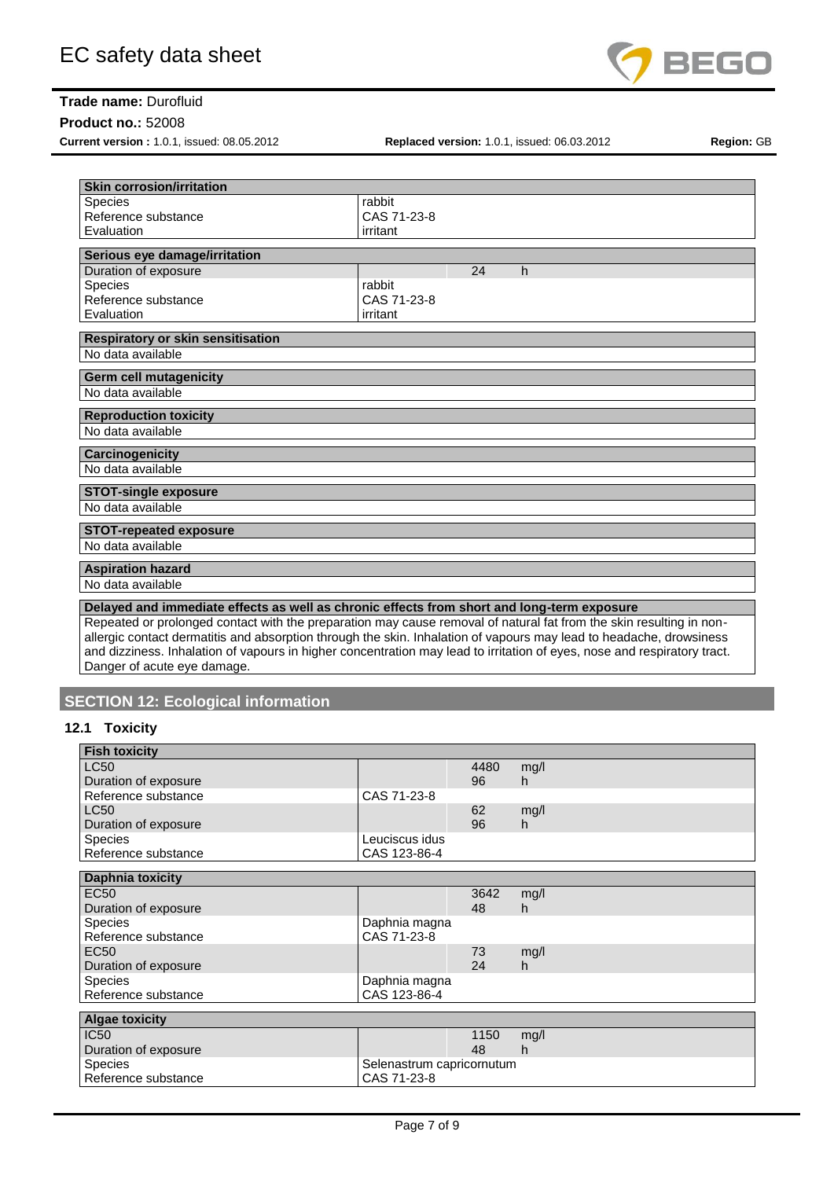

## **Product no.:** 52008

**Current version :** 1.0.1, issued: 08.05.2012 **Replaced version:** 1.0.1, issued: 06.03.2012 **Region:** GB

| <b>Skin corrosion/irritation</b>         |                                                                                                                          |
|------------------------------------------|--------------------------------------------------------------------------------------------------------------------------|
| Species                                  | rabbit                                                                                                                   |
| Reference substance                      | CAS 71-23-8                                                                                                              |
| Evaluation                               |                                                                                                                          |
|                                          | irritant                                                                                                                 |
| Serious eye damage/irritation            |                                                                                                                          |
| Duration of exposure                     | 24<br>h                                                                                                                  |
| <b>Species</b>                           | rabbit                                                                                                                   |
| Reference substance                      | CAS 71-23-8                                                                                                              |
| Evaluation                               | irritant                                                                                                                 |
| <b>Respiratory or skin sensitisation</b> |                                                                                                                          |
| No data available                        |                                                                                                                          |
|                                          |                                                                                                                          |
| <b>Germ cell mutagenicity</b>            |                                                                                                                          |
| No data available                        |                                                                                                                          |
| <b>Reproduction toxicity</b>             |                                                                                                                          |
| No data available                        |                                                                                                                          |
|                                          |                                                                                                                          |
| Carcinogenicity                          |                                                                                                                          |
| No data available                        |                                                                                                                          |
| <b>STOT-single exposure</b>              |                                                                                                                          |
| No data available                        |                                                                                                                          |
|                                          |                                                                                                                          |
| <b>STOT-repeated exposure</b>            |                                                                                                                          |
| No data available                        |                                                                                                                          |
| <b>Aspiration hazard</b>                 |                                                                                                                          |
| No data available                        |                                                                                                                          |
|                                          |                                                                                                                          |
|                                          | Delayed and immediate effects as well as chronic effects from short and long-term exposure                               |
|                                          | Repeated or prolonged contact with the preparation may cause removal of natural fat from the skin resulting in non-      |
|                                          | allergic contact dermatitis and absorption through the skin. Inhalation of vapours may lead to headache, drowsiness      |
|                                          | and dizziness. Inhalation of vapours in higher concentration may lead to irritation of eyes, nose and respiratory tract. |
| Danger of acute eye damage.              |                                                                                                                          |

# **SECTION 12: Ecological information**

# **12.1 Toxicity**

| <b>Fish toxicity</b>    |                           |      |      |
|-------------------------|---------------------------|------|------|
| <b>LC50</b>             |                           | 4480 | mg/l |
| Duration of exposure    |                           | 96   | h.   |
| Reference substance     | CAS 71-23-8               |      |      |
| <b>LC50</b>             |                           | 62   | mg/l |
| Duration of exposure    |                           | 96   | h    |
| <b>Species</b>          | Leuciscus idus            |      |      |
| Reference substance     | CAS 123-86-4              |      |      |
|                         |                           |      |      |
| <b>Daphnia toxicity</b> |                           |      |      |
| EC <sub>50</sub>        |                           | 3642 | mg/l |
| Duration of exposure    |                           | 48   | h.   |
| <b>Species</b>          | Daphnia magna             |      |      |
| Reference substance     | CAS 71-23-8               |      |      |
| <b>EC50</b>             |                           | 73   | mg/l |
| Duration of exposure    |                           | 24   | h    |
| <b>Species</b>          | Daphnia magna             |      |      |
| Reference substance     | CAS 123-86-4              |      |      |
|                         |                           |      |      |
| <b>Algae toxicity</b>   |                           |      |      |
| <b>IC50</b>             |                           | 1150 | mg/l |
| Duration of exposure    |                           | 48   | h    |
| <b>Species</b>          | Selenastrum capricornutum |      |      |
| Reference substance     | CAS 71-23-8               |      |      |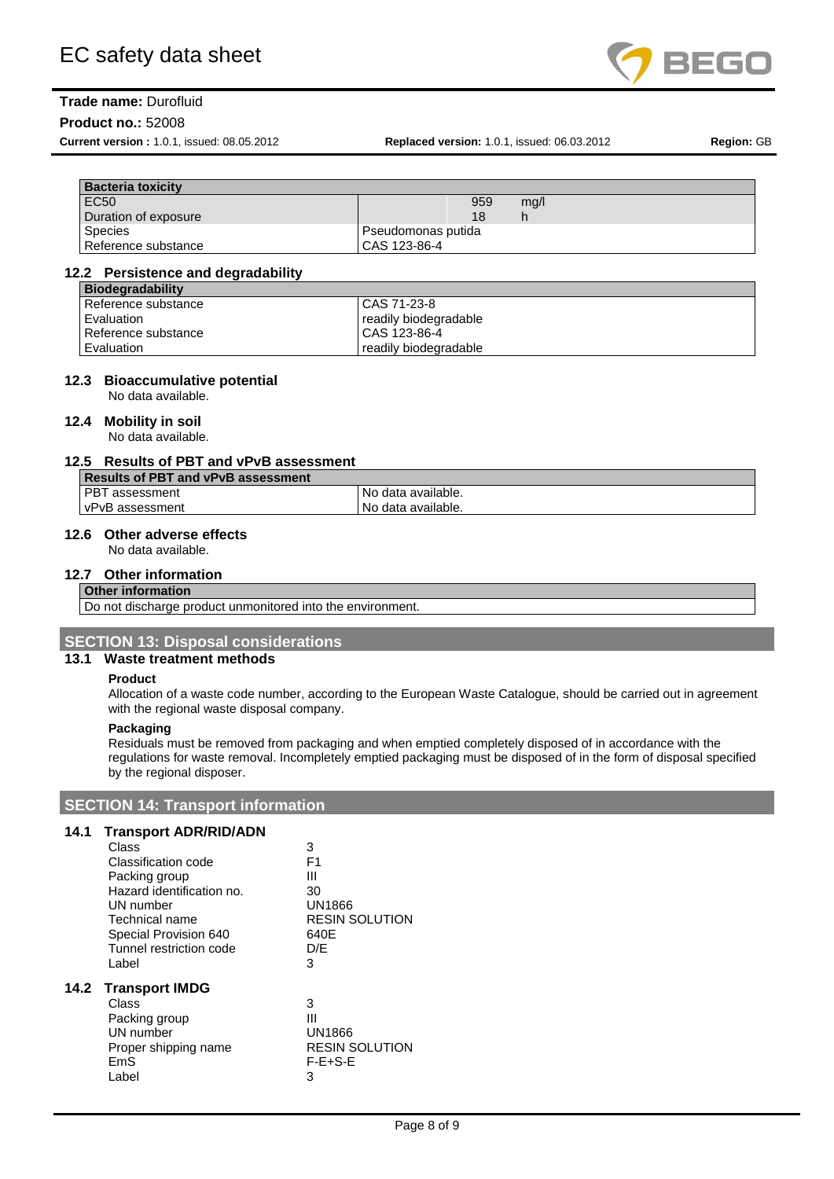

#### **Product no.:** 52008

**Current version :** 1.0.1, issued: 08.05.2012 **Replaced version:** 1.0.1, issued: 06.03.2012 **Region:** GB

| <b>Bacteria toxicity</b> |                    |      |
|--------------------------|--------------------|------|
| <b>EC50</b>              | 959                | mg/l |
| Duration of exposure     | 18                 |      |
| <b>Species</b>           | Pseudomonas putida |      |
| Reference substance      | CAS 123-86-4       |      |

#### **12.2 Persistence and degradability**

| <b>Biodegradability</b> |                       |
|-------------------------|-----------------------|
| Reference substance     | CAS 71-23-8           |
| Evaluation              | readily biodegradable |
| Reference substance     | CAS 123-86-4          |
| Evaluation              | readily biodegradable |

#### **12.3 Bioaccumulative potential**

No data available.

## **12.4 Mobility in soil**

No data available.

# **12.5 Results of PBT and vPvB assessment**

| <b>Results of PBT and vPvB assessment</b> |                    |
|-------------------------------------------|--------------------|
| <b>PBT</b> assessment                     | No data available. |
| l vPvB assessment                         | No data available. |

# **12.6 Other adverse effects**

No data available.

# **12.7 Other information**

## **Other information**

Do not discharge product unmonitored into the environment

# **SECTION 13: Disposal considerations**

# **13.1 Waste treatment methods**

#### **Product**

Allocation of a waste code number, according to the European Waste Catalogue, should be carried out in agreement with the regional waste disposal company.

## **Packaging**

**14.2 Transport IMDG**

Residuals must be removed from packaging and when emptied completely disposed of in accordance with the regulations for waste removal. Incompletely emptied packaging must be disposed of in the form of disposal specified by the regional disposer.

# **SECTION 14: Transport information**

## **14.1 Transport ADR/RID/ADN**

Proper shipping name

| Class<br>Classification code<br>Packing group | 3<br>F1<br>Ш                    |
|-----------------------------------------------|---------------------------------|
| Hazard identification no.                     | 30                              |
| UN number<br>Technical name                   | UN1866<br><b>RESIN SOLUTION</b> |
| Special Provision 640                         | 640E                            |
| Tunnel restriction code                       | D/E                             |
| Label                                         | 3                               |
| <b>Transport IMDG</b>                         |                                 |
| Class                                         | 3                               |
| Packing group                                 | Ш                               |
| UN number                                     | <b>UN1866</b>                   |
| Proper shipping name                          | <b>RESIN SOLUTION</b>           |

EmS F-E+S-E Label 3